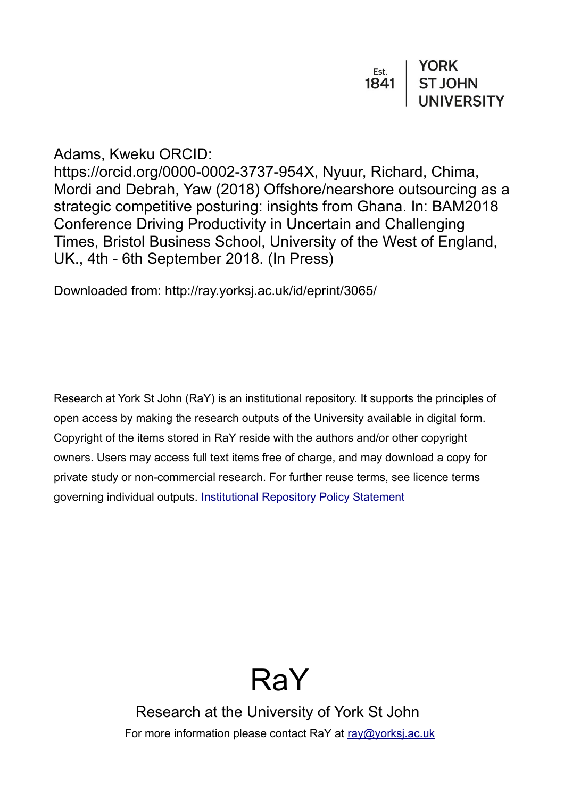| Est. | <b>YORK</b>    |
|------|----------------|
| 1841 | <b>ST JOHN</b> |
|      | UNIVERSITY     |

Adams, Kweku ORCID:

https://orcid.org/0000-0002-3737-954X, Nyuur, Richard, Chima, Mordi and Debrah, Yaw (2018) Offshore/nearshore outsourcing as a strategic competitive posturing: insights from Ghana. In: BAM2018 Conference Driving Productivity in Uncertain and Challenging Times, Bristol Business School, University of the West of England, UK., 4th - 6th September 2018. (In Press)

Downloaded from: http://ray.yorksj.ac.uk/id/eprint/3065/

Research at York St John (RaY) is an institutional repository. It supports the principles of open access by making the research outputs of the University available in digital form. Copyright of the items stored in RaY reside with the authors and/or other copyright owners. Users may access full text items free of charge, and may download a copy for private study or non-commercial research. For further reuse terms, see licence terms governing individual outputs. [Institutional Repository Policy Statement](https://www.yorksj.ac.uk/ils/repository-policies/)



Research at the University of York St John For more information please contact RaY at [ray@yorksj.ac.uk](mailto:ray@yorksj.ac.uk)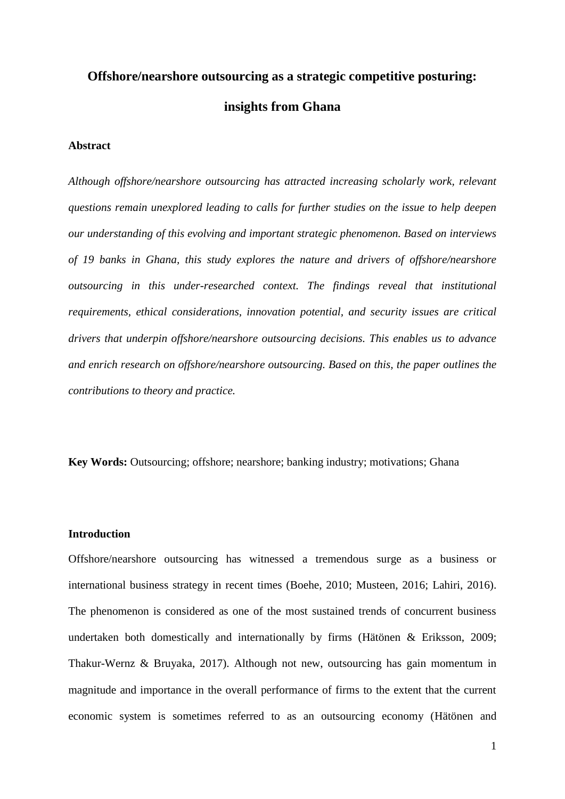# **Offshore/nearshore outsourcing as a strategic competitive posturing: insights from Ghana**

#### **Abstract**

*Although offshore/nearshore outsourcing has attracted increasing scholarly work, relevant questions remain unexplored leading to calls for further studies on the issue to help deepen our understanding of this evolving and important strategic phenomenon. Based on interviews of 19 banks in Ghana, this study explores the nature and drivers of offshore/nearshore outsourcing in this under-researched context. The findings reveal that institutional requirements, ethical considerations, innovation potential, and security issues are critical drivers that underpin offshore/nearshore outsourcing decisions. This enables us to advance and enrich research on offshore/nearshore outsourcing. Based on this, the paper outlines the contributions to theory and practice.* 

**Key Words:** Outsourcing; offshore; nearshore; banking industry; motivations; Ghana

#### **Introduction**

Offshore/nearshore outsourcing has witnessed a tremendous surge as a business or international business strategy in recent times (Boehe, 2010; Musteen, 2016; Lahiri, 2016). The phenomenon is considered as one of the most sustained trends of concurrent business undertaken both domestically and internationally by firms (Hätönen & Eriksson, 2009; Thakur-Wernz & Bruyaka, 2017). Although not new, outsourcing has gain momentum in magnitude and importance in the overall performance of firms to the extent that the current economic system is sometimes referred to as an outsourcing economy (Hätönen and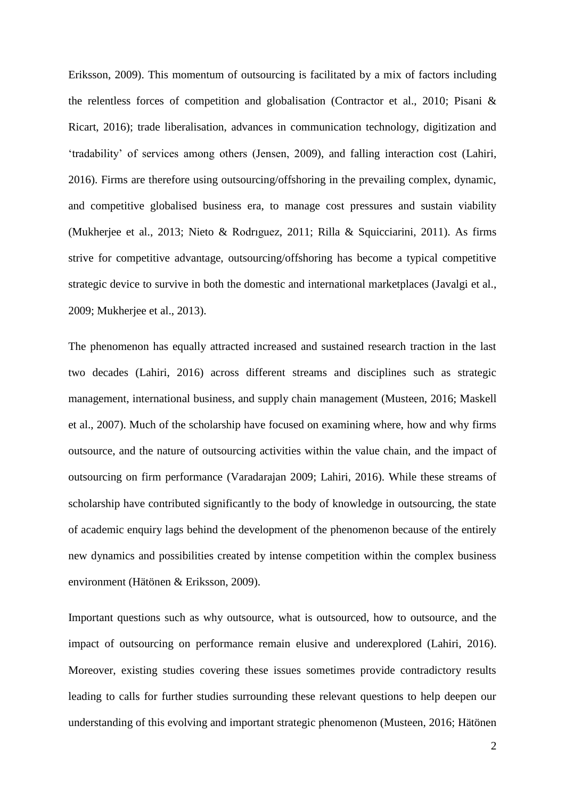Eriksson, 2009). This momentum of outsourcing is facilitated by a mix of factors including the relentless forces of competition and globalisation (Contractor et al., 2010; Pisani & Ricart, 2016); trade liberalisation, advances in communication technology, digitization and 'tradability' of services among others (Jensen, 2009), and falling interaction cost (Lahiri, 2016). Firms are therefore using outsourcing/offshoring in the prevailing complex, dynamic, and competitive globalised business era, to manage cost pressures and sustain viability (Mukherjee et al., 2013; Nieto & Rodrıguez, 2011; Rilla & Squicciarini, 2011). As firms strive for competitive advantage, outsourcing/offshoring has become a typical competitive strategic device to survive in both the domestic and international marketplaces (Javalgi et al., 2009; Mukherjee et al., 2013).

The phenomenon has equally attracted increased and sustained research traction in the last two decades (Lahiri, 2016) across different streams and disciplines such as strategic management, international business, and supply chain management (Musteen, 2016; Maskell et al., 2007). Much of the scholarship have focused on examining where, how and why firms outsource, and the nature of outsourcing activities within the value chain, and the impact of outsourcing on firm performance (Varadarajan 2009; Lahiri, 2016). While these streams of scholarship have contributed significantly to the body of knowledge in outsourcing, the state of academic enquiry lags behind the development of the phenomenon because of the entirely new dynamics and possibilities created by intense competition within the complex business environment (Hätönen & Eriksson, 2009).

Important questions such as why outsource, what is outsourced, how to outsource, and the impact of outsourcing on performance remain elusive and underexplored (Lahiri, 2016). Moreover, existing studies covering these issues sometimes provide contradictory results leading to calls for further studies surrounding these relevant questions to help deepen our understanding of this evolving and important strategic phenomenon (Musteen, 2016; Hätönen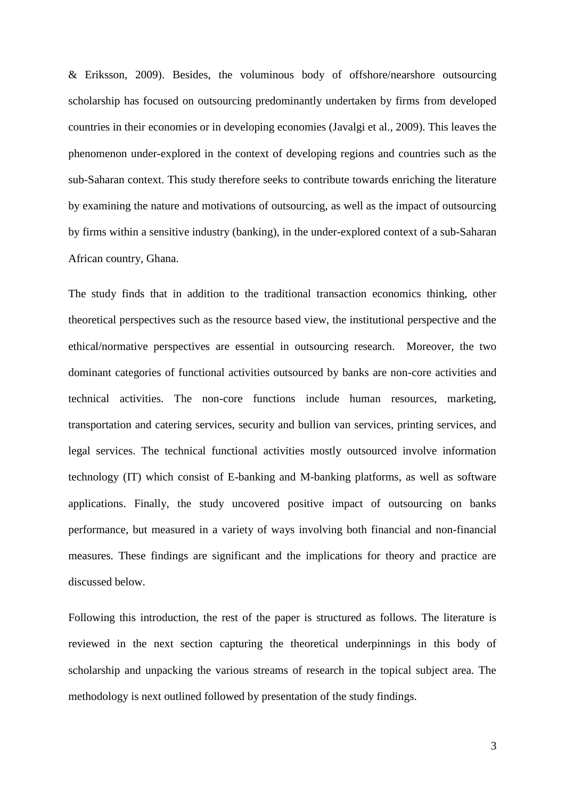& Eriksson, 2009). Besides, the voluminous body of offshore/nearshore outsourcing scholarship has focused on outsourcing predominantly undertaken by firms from developed countries in their economies or in developing economies (Javalgi et al., 2009). This leaves the phenomenon under-explored in the context of developing regions and countries such as the sub-Saharan context. This study therefore seeks to contribute towards enriching the literature by examining the nature and motivations of outsourcing, as well as the impact of outsourcing by firms within a sensitive industry (banking), in the under-explored context of a sub-Saharan African country, Ghana.

The study finds that in addition to the traditional transaction economics thinking, other theoretical perspectives such as the resource based view, the institutional perspective and the ethical/normative perspectives are essential in outsourcing research. Moreover, the two dominant categories of functional activities outsourced by banks are non-core activities and technical activities. The non-core functions include human resources, marketing, transportation and catering services, security and bullion van services, printing services, and legal services. The technical functional activities mostly outsourced involve information technology (IT) which consist of E-banking and M-banking platforms, as well as software applications. Finally, the study uncovered positive impact of outsourcing on banks performance, but measured in a variety of ways involving both financial and non-financial measures. These findings are significant and the implications for theory and practice are discussed below.

Following this introduction, the rest of the paper is structured as follows. The literature is reviewed in the next section capturing the theoretical underpinnings in this body of scholarship and unpacking the various streams of research in the topical subject area. The methodology is next outlined followed by presentation of the study findings.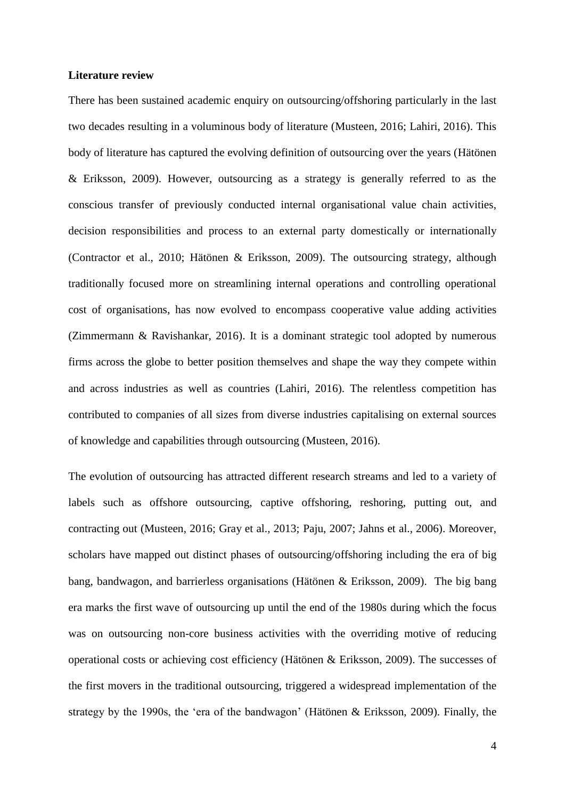#### **Literature review**

There has been sustained academic enquiry on outsourcing/offshoring particularly in the last two decades resulting in a voluminous body of literature (Musteen, 2016; Lahiri, 2016). This body of literature has captured the evolving definition of outsourcing over the years (Hätönen & Eriksson, 2009). However, outsourcing as a strategy is generally referred to as the conscious transfer of previously conducted internal organisational value chain activities, decision responsibilities and process to an external party domestically or internationally (Contractor et al., 2010; Hätönen & Eriksson, 2009). The outsourcing strategy, although traditionally focused more on streamlining internal operations and controlling operational cost of organisations, has now evolved to encompass cooperative value adding activities (Zimmermann & Ravishankar, 2016). It is a dominant strategic tool adopted by numerous firms across the globe to better position themselves and shape the way they compete within and across industries as well as countries (Lahiri, 2016). The relentless competition has contributed to companies of all sizes from diverse industries capitalising on external sources of knowledge and capabilities through outsourcing (Musteen, 2016).

The evolution of outsourcing has attracted different research streams and led to a variety of labels such as offshore outsourcing, captive offshoring, reshoring, putting out, and contracting out (Musteen, 2016; Gray et al., 2013; Paju, 2007; Jahns et al., 2006). Moreover, scholars have mapped out distinct phases of outsourcing/offshoring including the era of big bang, bandwagon, and barrierless organisations (Hätönen & Eriksson, 2009). The big bang era marks the first wave of outsourcing up until the end of the 1980s during which the focus was on outsourcing non-core business activities with the overriding motive of reducing operational costs or achieving cost efficiency (Hätönen & Eriksson, 2009). The successes of the first movers in the traditional outsourcing, triggered a widespread implementation of the strategy by the 1990s, the 'era of the bandwagon' (Hätönen & Eriksson, 2009). Finally, the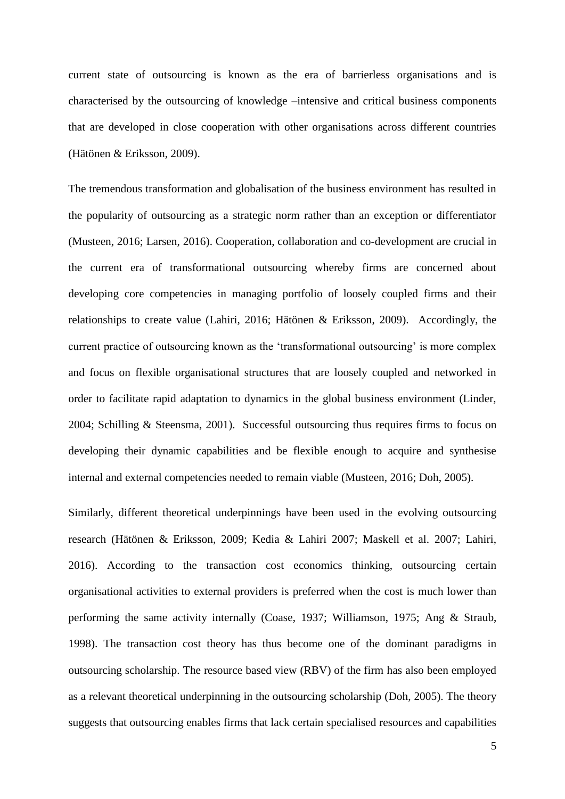current state of outsourcing is known as the era of barrierless organisations and is characterised by the outsourcing of knowledge –intensive and critical business components that are developed in close cooperation with other organisations across different countries (Hätönen & Eriksson, 2009).

The tremendous transformation and globalisation of the business environment has resulted in the popularity of outsourcing as a strategic norm rather than an exception or differentiator (Musteen, 2016; Larsen, 2016). Cooperation, collaboration and co-development are crucial in the current era of transformational outsourcing whereby firms are concerned about developing core competencies in managing portfolio of loosely coupled firms and their relationships to create value (Lahiri, 2016; Hätönen & Eriksson, 2009). Accordingly, the current practice of outsourcing known as the 'transformational outsourcing' is more complex and focus on flexible organisational structures that are loosely coupled and networked in order to facilitate rapid adaptation to dynamics in the global business environment (Linder, 2004; Schilling & Steensma, 2001). Successful outsourcing thus requires firms to focus on developing their dynamic capabilities and be flexible enough to acquire and synthesise internal and external competencies needed to remain viable (Musteen, 2016; Doh, 2005).

Similarly, different theoretical underpinnings have been used in the evolving outsourcing research (Hätönen & Eriksson, 2009; Kedia & Lahiri 2007; Maskell et al. 2007; Lahiri, 2016). According to the transaction cost economics thinking, outsourcing certain organisational activities to external providers is preferred when the cost is much lower than performing the same activity internally (Coase, 1937; Williamson, 1975; Ang & Straub, 1998). The transaction cost theory has thus become one of the dominant paradigms in outsourcing scholarship. The resource based view (RBV) of the firm has also been employed as a relevant theoretical underpinning in the outsourcing scholarship (Doh, 2005). The theory suggests that outsourcing enables firms that lack certain specialised resources and capabilities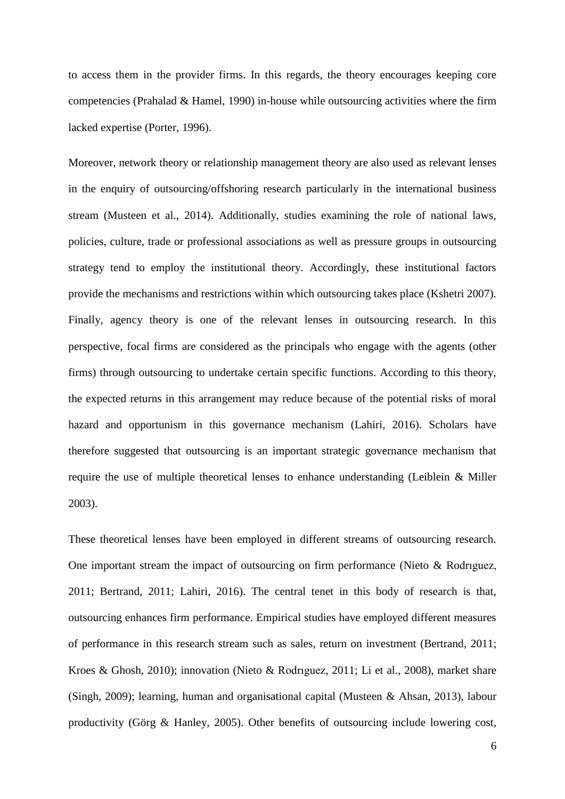to access them in the provider firms. In this regards, the theory encourages keeping core competencies (Prahalad & Hamel, 1990) in-house while outsourcing activities where the firm lacked expertise (Porter, 1996).

Moreover, network theory or relationship management theory are also used as relevant lenses in the enquiry of outsourcing/offshoring research particularly in the international business stream (Musteen et al., 2014). Additionally, studies examining the role of national laws, policies, culture, trade or professional associations as well as pressure groups in outsourcing strategy tend to employ the institutional theory. Accordingly, these institutional factors provide the mechanisms and restrictions within which outsourcing takes place (Kshetri 2007). Finally, agency theory is one of the relevant lenses in outsourcing research. In this perspective, focal firms are considered as the principals who engage with the agents (other firms) through outsourcing to undertake certain specific functions. According to this theory, the expected returns in this arrangement may reduce because of the potential risks of moral hazard and opportunism in this governance mechanism (Lahiri, 2016). Scholars have therefore suggested that outsourcing is an important strategic governance mechanism that require the use of multiple theoretical lenses to enhance understanding (Leiblein & Miller 2003).

These theoretical lenses have been employed in different streams of outsourcing research. One important stream the impact of outsourcing on firm performance (Nieto & Rodrıguez, 2011; Bertrand, 2011; Lahiri, 2016). The central tenet in this body of research is that, outsourcing enhances firm performance. Empirical studies have employed different measures of performance in this research stream such as sales, return on investment (Bertrand, 2011; Kroes & Ghosh, 2010); innovation (Nieto & Rodrıguez, 2011; Li et al., 2008), market share (Singh, 2009); learning, human and organisational capital (Musteen & Ahsan, 2013), labour productivity (Görg & Hanley, 2005). Other benefits of outsourcing include lowering cost,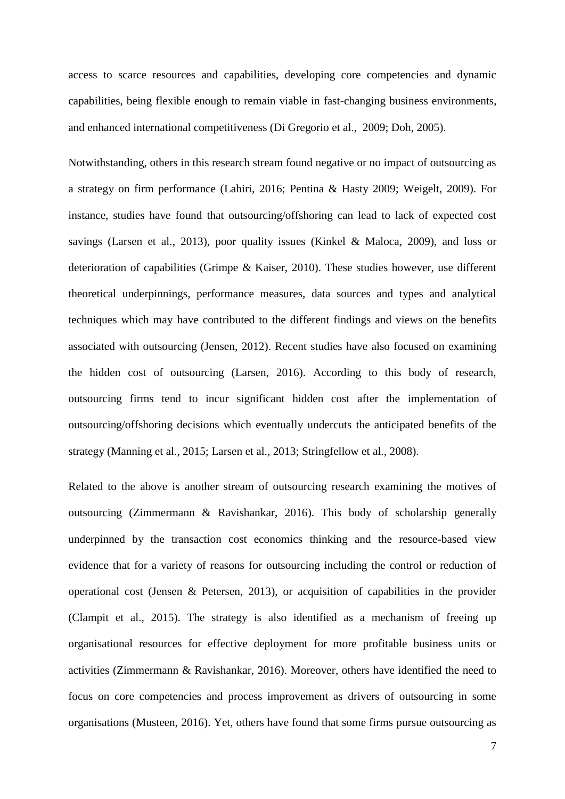access to scarce resources and capabilities, developing core competencies and dynamic capabilities, being flexible enough to remain viable in fast-changing business environments, and enhanced international competitiveness (Di Gregorio et al., 2009; Doh, 2005).

Notwithstanding, others in this research stream found negative or no impact of outsourcing as a strategy on firm performance (Lahiri, 2016; Pentina & Hasty 2009; Weigelt, 2009). For instance, studies have found that outsourcing/offshoring can lead to lack of expected cost savings (Larsen et al., 2013), poor quality issues (Kinkel & Maloca, 2009), and loss or deterioration of capabilities (Grimpe & Kaiser, 2010). These studies however, use different theoretical underpinnings, performance measures, data sources and types and analytical techniques which may have contributed to the different findings and views on the benefits associated with outsourcing (Jensen, 2012). Recent studies have also focused on examining the hidden cost of outsourcing (Larsen, 2016). According to this body of research, outsourcing firms tend to incur significant hidden cost after the implementation of outsourcing/offshoring decisions which eventually undercuts the anticipated benefits of the strategy (Manning et al., 2015; Larsen et al., 2013; Stringfellow et al., 2008).

Related to the above is another stream of outsourcing research examining the motives of outsourcing (Zimmermann & Ravishankar, 2016). This body of scholarship generally underpinned by the transaction cost economics thinking and the resource-based view evidence that for a variety of reasons for outsourcing including the control or reduction of operational cost (Jensen & Petersen, 2013), or acquisition of capabilities in the provider (Clampit et al., 2015). The strategy is also identified as a mechanism of freeing up organisational resources for effective deployment for more profitable business units or activities (Zimmermann & Ravishankar, 2016). Moreover, others have identified the need to focus on core competencies and process improvement as drivers of outsourcing in some organisations (Musteen, 2016). Yet, others have found that some firms pursue outsourcing as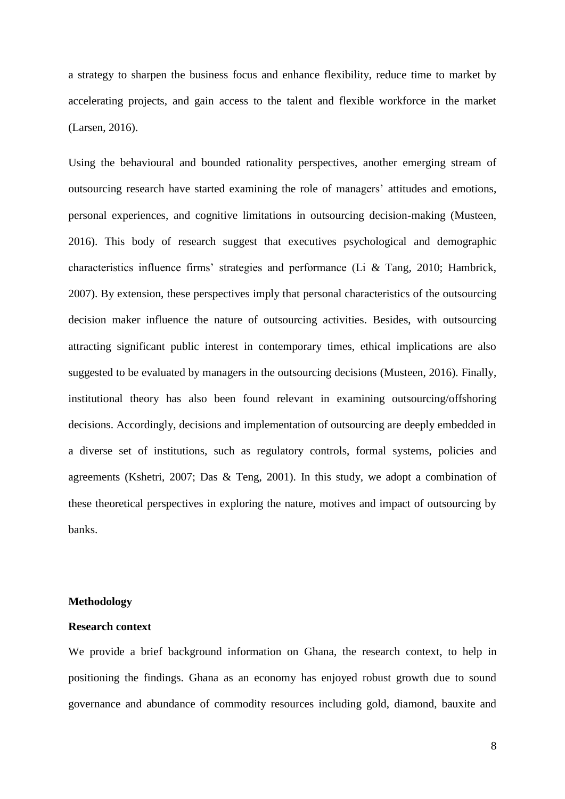a strategy to sharpen the business focus and enhance flexibility, reduce time to market by accelerating projects, and gain access to the talent and flexible workforce in the market (Larsen, 2016).

Using the behavioural and bounded rationality perspectives, another emerging stream of outsourcing research have started examining the role of managers' attitudes and emotions, personal experiences, and cognitive limitations in outsourcing decision-making (Musteen, 2016). This body of research suggest that executives psychological and demographic characteristics influence firms' strategies and performance (Li & Tang, 2010; Hambrick, 2007). By extension, these perspectives imply that personal characteristics of the outsourcing decision maker influence the nature of outsourcing activities. Besides, with outsourcing attracting significant public interest in contemporary times, ethical implications are also suggested to be evaluated by managers in the outsourcing decisions (Musteen, 2016). Finally, institutional theory has also been found relevant in examining outsourcing/offshoring decisions. Accordingly, decisions and implementation of outsourcing are deeply embedded in a diverse set of institutions, such as regulatory controls, formal systems, policies and agreements (Kshetri, 2007; Das & Teng, 2001). In this study, we adopt a combination of these theoretical perspectives in exploring the nature, motives and impact of outsourcing by banks.

#### **Methodology**

#### **Research context**

We provide a brief background information on Ghana, the research context, to help in positioning the findings. Ghana as an economy has enjoyed robust growth due to sound governance and abundance of commodity resources including gold, diamond, bauxite and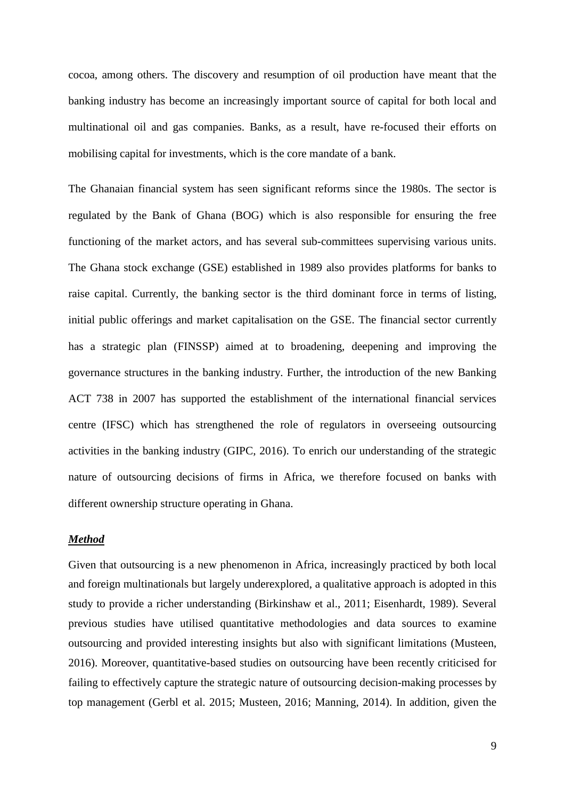cocoa, among others. The discovery and resumption of oil production have meant that the banking industry has become an increasingly important source of capital for both local and multinational oil and gas companies. Banks, as a result, have re-focused their efforts on mobilising capital for investments, which is the core mandate of a bank.

The Ghanaian financial system has seen significant reforms since the 1980s. The sector is regulated by the Bank of Ghana (BOG) which is also responsible for ensuring the free functioning of the market actors, and has several sub-committees supervising various units. The Ghana stock exchange (GSE) established in 1989 also provides platforms for banks to raise capital. Currently, the banking sector is the third dominant force in terms of listing, initial public offerings and market capitalisation on the GSE. The financial sector currently has a strategic plan (FINSSP) aimed at to broadening, deepening and improving the governance structures in the banking industry. Further, the introduction of the new Banking ACT 738 in 2007 has supported the establishment of the international financial services centre (IFSC) which has strengthened the role of regulators in overseeing outsourcing activities in the banking industry (GIPC, 2016). To enrich our understanding of the strategic nature of outsourcing decisions of firms in Africa, we therefore focused on banks with different ownership structure operating in Ghana.

#### *Method*

Given that outsourcing is a new phenomenon in Africa, increasingly practiced by both local and foreign multinationals but largely underexplored, a qualitative approach is adopted in this study to provide a richer understanding (Birkinshaw et al., 2011; Eisenhardt, 1989). Several previous studies have utilised quantitative methodologies and data sources to examine outsourcing and provided interesting insights but also with significant limitations (Musteen, 2016). Moreover, quantitative-based studies on outsourcing have been recently criticised for failing to effectively capture the strategic nature of outsourcing decision-making processes by top management (Gerbl et al. 2015; Musteen, 2016; Manning, 2014). In addition, given the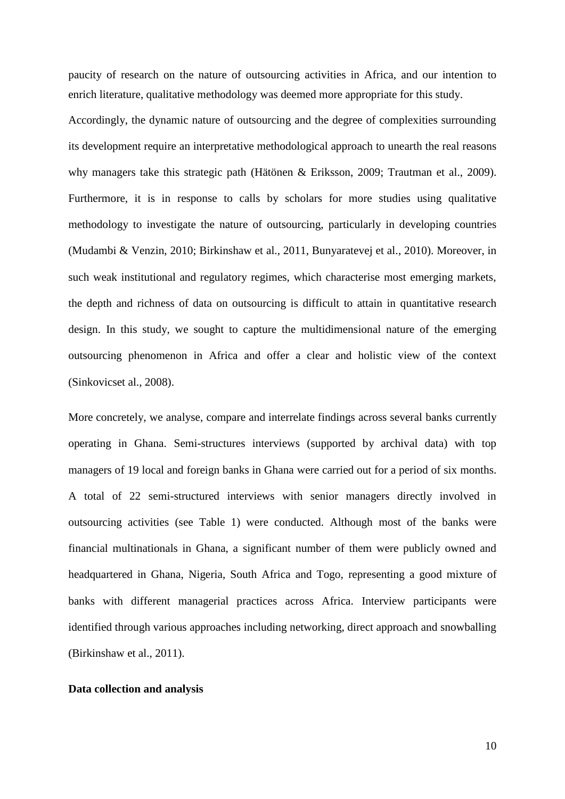paucity of research on the nature of outsourcing activities in Africa, and our intention to enrich literature, qualitative methodology was deemed more appropriate for this study.

Accordingly, the dynamic nature of outsourcing and the degree of complexities surrounding its development require an interpretative methodological approach to unearth the real reasons why managers take this strategic path (Hätönen & Eriksson, 2009; Trautman et al., 2009). Furthermore, it is in response to calls by scholars for more studies using qualitative methodology to investigate the nature of outsourcing, particularly in developing countries (Mudambi & Venzin, 2010; Birkinshaw et al., 2011, Bunyaratevej et al., 2010). Moreover, in such weak institutional and regulatory regimes, which characterise most emerging markets, the depth and richness of data on outsourcing is difficult to attain in quantitative research design. In this study, we sought to capture the multidimensional nature of the emerging outsourcing phenomenon in Africa and offer a clear and holistic view of the context (Sinkovicset al., 2008).

More concretely, we analyse, compare and interrelate findings across several banks currently operating in Ghana. Semi-structures interviews (supported by archival data) with top managers of 19 local and foreign banks in Ghana were carried out for a period of six months. A total of 22 semi-structured interviews with senior managers directly involved in outsourcing activities (see Table 1) were conducted. Although most of the banks were financial multinationals in Ghana, a significant number of them were publicly owned and headquartered in Ghana, Nigeria, South Africa and Togo, representing a good mixture of banks with different managerial practices across Africa. Interview participants were identified through various approaches including networking, direct approach and snowballing (Birkinshaw et al., 2011).

#### **Data collection and analysis**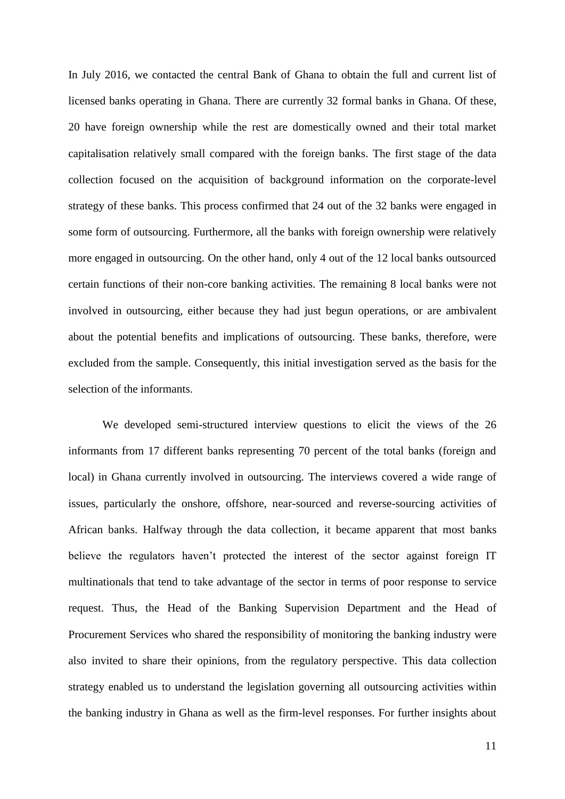In July 2016, we contacted the central Bank of Ghana to obtain the full and current list of licensed banks operating in Ghana. There are currently 32 formal banks in Ghana. Of these, 20 have foreign ownership while the rest are domestically owned and their total market capitalisation relatively small compared with the foreign banks. The first stage of the data collection focused on the acquisition of background information on the corporate-level strategy of these banks. This process confirmed that 24 out of the 32 banks were engaged in some form of outsourcing. Furthermore, all the banks with foreign ownership were relatively more engaged in outsourcing. On the other hand, only 4 out of the 12 local banks outsourced certain functions of their non-core banking activities. The remaining 8 local banks were not involved in outsourcing, either because they had just begun operations, or are ambivalent about the potential benefits and implications of outsourcing. These banks, therefore, were excluded from the sample. Consequently, this initial investigation served as the basis for the selection of the informants.

We developed semi-structured interview questions to elicit the views of the 26 informants from 17 different banks representing 70 percent of the total banks (foreign and local) in Ghana currently involved in outsourcing. The interviews covered a wide range of issues, particularly the onshore, offshore, near-sourced and reverse-sourcing activities of African banks. Halfway through the data collection, it became apparent that most banks believe the regulators haven't protected the interest of the sector against foreign IT multinationals that tend to take advantage of the sector in terms of poor response to service request. Thus, the Head of the Banking Supervision Department and the Head of Procurement Services who shared the responsibility of monitoring the banking industry were also invited to share their opinions, from the regulatory perspective. This data collection strategy enabled us to understand the legislation governing all outsourcing activities within the banking industry in Ghana as well as the firm-level responses. For further insights about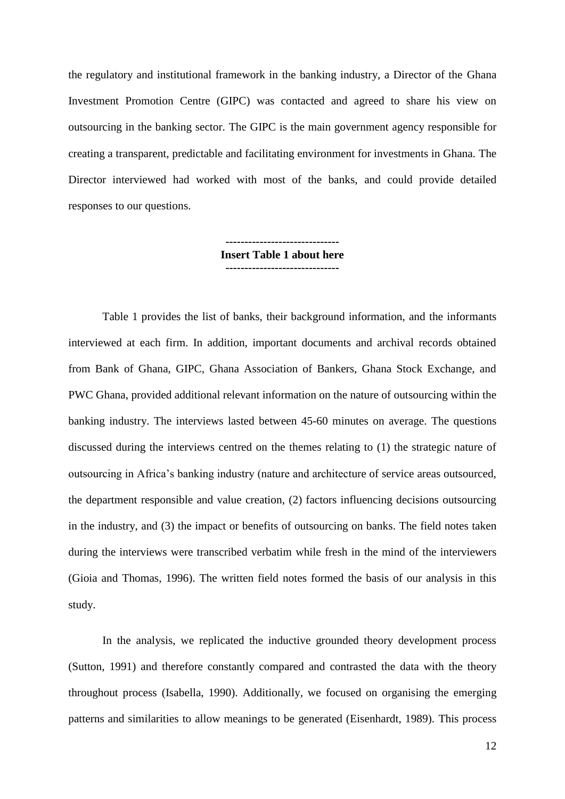the regulatory and institutional framework in the banking industry, a Director of the Ghana Investment Promotion Centre (GIPC) was contacted and agreed to share his view on outsourcing in the banking sector. The GIPC is the main government agency responsible for creating a transparent, predictable and facilitating environment for investments in Ghana. The Director interviewed had worked with most of the banks, and could provide detailed responses to our questions.

> **------------------------------ Insert Table 1 about here ------------------------------**

Table 1 provides the list of banks, their background information, and the informants interviewed at each firm. In addition, important documents and archival records obtained from Bank of Ghana, GIPC, Ghana Association of Bankers, Ghana Stock Exchange, and PWC Ghana, provided additional relevant information on the nature of outsourcing within the banking industry. The interviews lasted between 45-60 minutes on average. The questions discussed during the interviews centred on the themes relating to (1) the strategic nature of outsourcing in Africa's banking industry (nature and architecture of service areas outsourced, the department responsible and value creation, (2) factors influencing decisions outsourcing in the industry, and (3) the impact or benefits of outsourcing on banks. The field notes taken during the interviews were transcribed verbatim while fresh in the mind of the interviewers (Gioia and Thomas, 1996). The written field notes formed the basis of our analysis in this study.

In the analysis, we replicated the inductive grounded theory development process (Sutton, 1991) and therefore constantly compared and contrasted the data with the theory throughout process (Isabella, 1990). Additionally, we focused on organising the emerging patterns and similarities to allow meanings to be generated (Eisenhardt, 1989). This process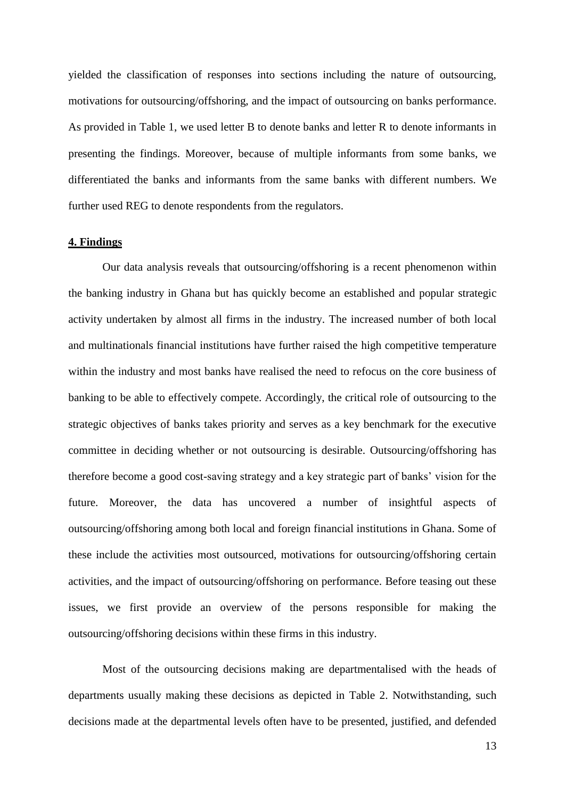yielded the classification of responses into sections including the nature of outsourcing, motivations for outsourcing/offshoring, and the impact of outsourcing on banks performance. As provided in Table 1, we used letter B to denote banks and letter R to denote informants in presenting the findings. Moreover, because of multiple informants from some banks, we differentiated the banks and informants from the same banks with different numbers. We further used REG to denote respondents from the regulators.

#### **4. Findings**

Our data analysis reveals that outsourcing/offshoring is a recent phenomenon within the banking industry in Ghana but has quickly become an established and popular strategic activity undertaken by almost all firms in the industry. The increased number of both local and multinationals financial institutions have further raised the high competitive temperature within the industry and most banks have realised the need to refocus on the core business of banking to be able to effectively compete. Accordingly, the critical role of outsourcing to the strategic objectives of banks takes priority and serves as a key benchmark for the executive committee in deciding whether or not outsourcing is desirable. Outsourcing/offshoring has therefore become a good cost-saving strategy and a key strategic part of banks' vision for the future. Moreover, the data has uncovered a number of insightful aspects of outsourcing/offshoring among both local and foreign financial institutions in Ghana. Some of these include the activities most outsourced, motivations for outsourcing/offshoring certain activities, and the impact of outsourcing/offshoring on performance. Before teasing out these issues, we first provide an overview of the persons responsible for making the outsourcing/offshoring decisions within these firms in this industry.

Most of the outsourcing decisions making are departmentalised with the heads of departments usually making these decisions as depicted in Table 2. Notwithstanding, such decisions made at the departmental levels often have to be presented, justified, and defended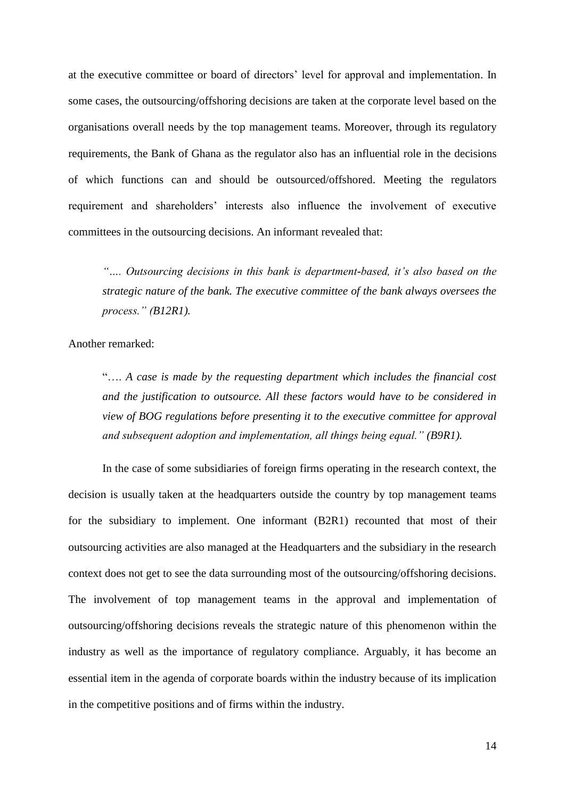at the executive committee or board of directors' level for approval and implementation. In some cases, the outsourcing/offshoring decisions are taken at the corporate level based on the organisations overall needs by the top management teams. Moreover, through its regulatory requirements, the Bank of Ghana as the regulator also has an influential role in the decisions of which functions can and should be outsourced/offshored. Meeting the regulators requirement and shareholders' interests also influence the involvement of executive committees in the outsourcing decisions. An informant revealed that:

*"…. Outsourcing decisions in this bank is department-based, it's also based on the strategic nature of the bank. The executive committee of the bank always oversees the process." (B12R1).*

Another remarked:

"…. *A case is made by the requesting department which includes the financial cost and the justification to outsource. All these factors would have to be considered in view of BOG regulations before presenting it to the executive committee for approval and subsequent adoption and implementation, all things being equal." (B9R1).*

In the case of some subsidiaries of foreign firms operating in the research context, the decision is usually taken at the headquarters outside the country by top management teams for the subsidiary to implement. One informant (B2R1) recounted that most of their outsourcing activities are also managed at the Headquarters and the subsidiary in the research context does not get to see the data surrounding most of the outsourcing/offshoring decisions. The involvement of top management teams in the approval and implementation of outsourcing/offshoring decisions reveals the strategic nature of this phenomenon within the industry as well as the importance of regulatory compliance. Arguably, it has become an essential item in the agenda of corporate boards within the industry because of its implication in the competitive positions and of firms within the industry.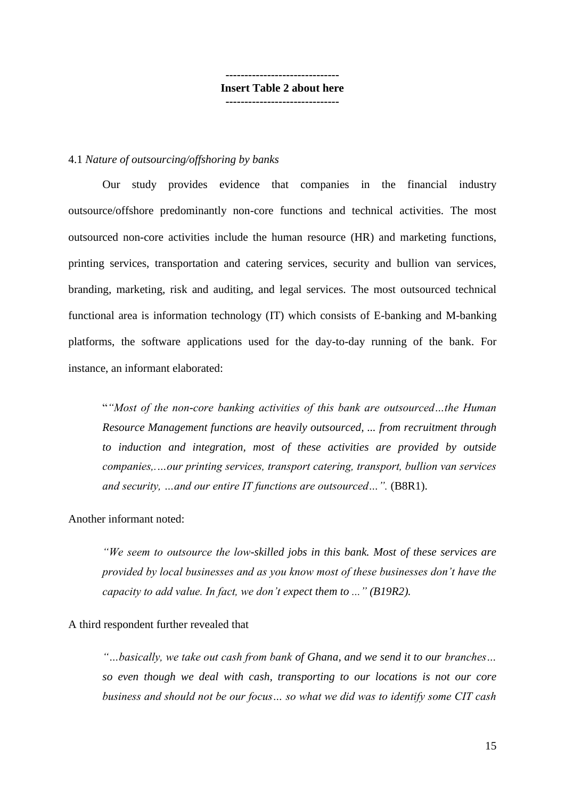**------------------------------ Insert Table 2 about here ------------------------------**

#### 4.1 *Nature of outsourcing/offshoring by banks*

Our study provides evidence that companies in the financial industry outsource/offshore predominantly non-core functions and technical activities. The most outsourced non-core activities include the human resource (HR) and marketing functions, printing services, transportation and catering services, security and bullion van services, branding, marketing, risk and auditing, and legal services. The most outsourced technical functional area is information technology (IT) which consists of E-banking and M-banking platforms, the software applications used for the day-to-day running of the bank. For instance, an informant elaborated:

"*"Most of the non-core banking activities of this bank are outsourced…the Human Resource Management functions are heavily outsourced, ... from recruitment through to induction and integration, most of these activities are provided by outside companies,.…our printing services, transport catering, transport, bullion van services and security, …and our entire IT functions are outsourced…".* (B8R1).

Another informant noted:

*"We seem to outsource the low-skilled jobs in this bank. Most of these services are provided by local businesses and as you know most of these businesses don't have the capacity to add value. In fact, we don't expect them to ..." (B19R2).* 

#### A third respondent further revealed that

*"…basically, we take out cash from bank of Ghana, and we send it to our branches… so even though we deal with cash, transporting to our locations is not our core business and should not be our focus… so what we did was to identify some CIT cash*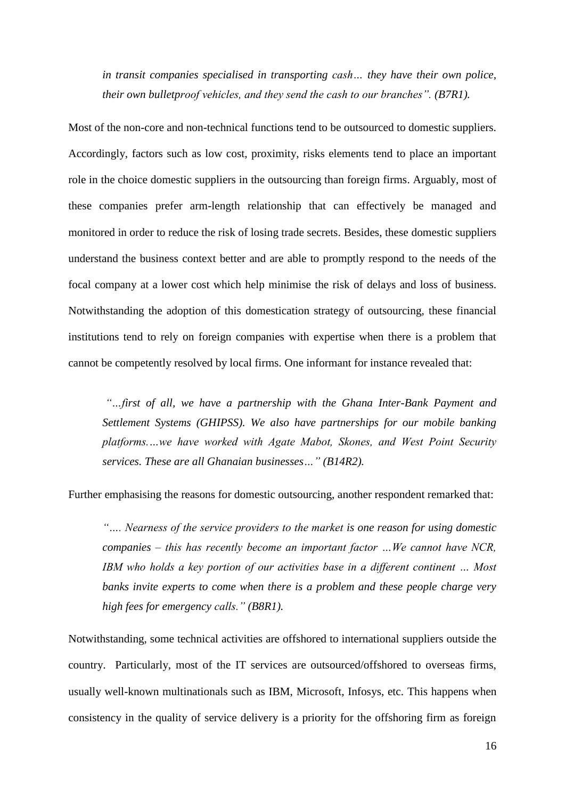*in transit companies specialised in transporting cash… they have their own police, their own bulletproof vehicles, and they send the cash to our branches". (B7R1).*

Most of the non-core and non-technical functions tend to be outsourced to domestic suppliers. Accordingly, factors such as low cost, proximity, risks elements tend to place an important role in the choice domestic suppliers in the outsourcing than foreign firms. Arguably, most of these companies prefer arm-length relationship that can effectively be managed and monitored in order to reduce the risk of losing trade secrets. Besides, these domestic suppliers understand the business context better and are able to promptly respond to the needs of the focal company at a lower cost which help minimise the risk of delays and loss of business. Notwithstanding the adoption of this domestication strategy of outsourcing, these financial institutions tend to rely on foreign companies with expertise when there is a problem that cannot be competently resolved by local firms. One informant for instance revealed that:

*"…first of all, we have a partnership with the Ghana Inter-Bank Payment and Settlement Systems (GHIPSS). We also have partnerships for our mobile banking platforms.…we have worked with Agate Mabot, Skones, and West Point Security services. These are all Ghanaian businesses…" (B14R2).*

Further emphasising the reasons for domestic outsourcing, another respondent remarked that:

*"…. Nearness of the service providers to the market is one reason for using domestic companies – this has recently become an important factor …We cannot have NCR, IBM who holds a key portion of our activities base in a different continent ... Most banks invite experts to come when there is a problem and these people charge very high fees for emergency calls." (B8R1).*

Notwithstanding, some technical activities are offshored to international suppliers outside the country. Particularly, most of the IT services are outsourced/offshored to overseas firms, usually well-known multinationals such as IBM, Microsoft, Infosys, etc. This happens when consistency in the quality of service delivery is a priority for the offshoring firm as foreign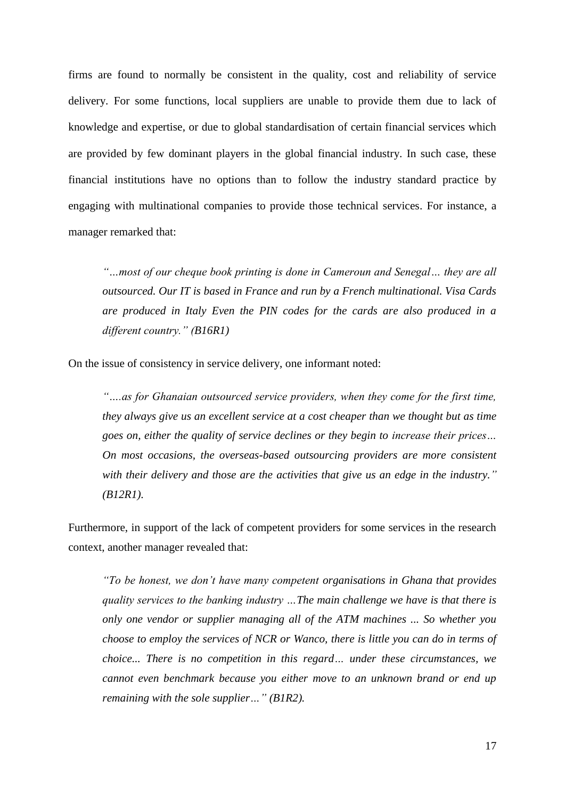firms are found to normally be consistent in the quality, cost and reliability of service delivery. For some functions, local suppliers are unable to provide them due to lack of knowledge and expertise, or due to global standardisation of certain financial services which are provided by few dominant players in the global financial industry. In such case, these financial institutions have no options than to follow the industry standard practice by engaging with multinational companies to provide those technical services. For instance, a manager remarked that:

*"…most of our cheque book printing is done in Cameroun and Senegal… they are all outsourced. Our IT is based in France and run by a French multinational. Visa Cards are produced in Italy Even the PIN codes for the cards are also produced in a different country." (B16R1)* 

On the issue of consistency in service delivery, one informant noted:

*"….as for Ghanaian outsourced service providers, when they come for the first time, they always give us an excellent service at a cost cheaper than we thought but as time goes on, either the quality of service declines or they begin to increase their prices… On most occasions, the overseas-based outsourcing providers are more consistent with their delivery and those are the activities that give us an edge in the industry." (B12R1).*

Furthermore, in support of the lack of competent providers for some services in the research context, another manager revealed that:

*"To be honest, we don't have many competent organisations in Ghana that provides quality services to the banking industry …The main challenge we have is that there is only one vendor or supplier managing all of the ATM machines ... So whether you choose to employ the services of NCR or Wanco, there is little you can do in terms of choice... There is no competition in this regard… under these circumstances, we cannot even benchmark because you either move to an unknown brand or end up remaining with the sole supplier…" (B1R2).*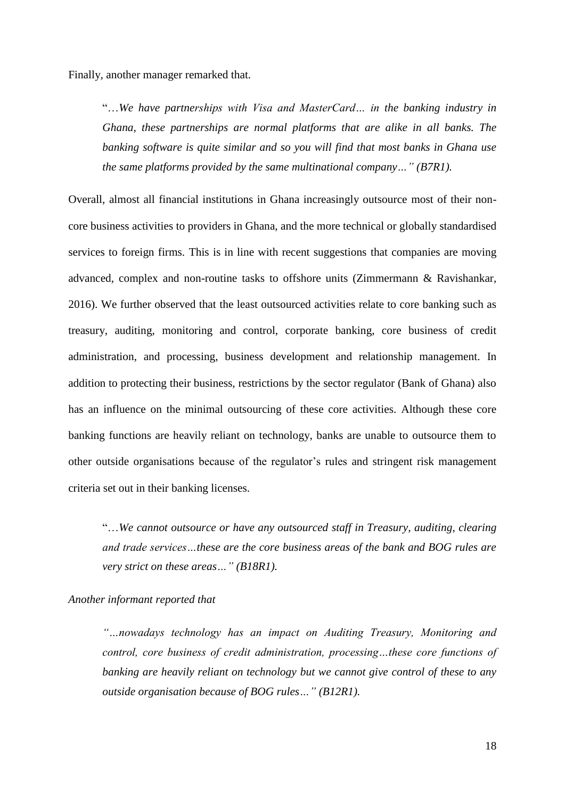Finally, another manager remarked that.

"…*We have partnerships with Visa and MasterCard… in the banking industry in Ghana, these partnerships are normal platforms that are alike in all banks. The banking software is quite similar and so you will find that most banks in Ghana use the same platforms provided by the same multinational company…" (B7R1).*

Overall, almost all financial institutions in Ghana increasingly outsource most of their noncore business activities to providers in Ghana, and the more technical or globally standardised services to foreign firms. This is in line with recent suggestions that companies are moving advanced, complex and non-routine tasks to offshore units (Zimmermann & Ravishankar, 2016). We further observed that the least outsourced activities relate to core banking such as treasury, auditing, monitoring and control, corporate banking, core business of credit administration, and processing, business development and relationship management. In addition to protecting their business, restrictions by the sector regulator (Bank of Ghana) also has an influence on the minimal outsourcing of these core activities. Although these core banking functions are heavily reliant on technology, banks are unable to outsource them to other outside organisations because of the regulator's rules and stringent risk management criteria set out in their banking licenses.

"…*We cannot outsource or have any outsourced staff in Treasury, auditing, clearing and trade services…these are the core business areas of the bank and BOG rules are very strict on these areas…" (B18R1).* 

#### *Another informant reported that*

*"…nowadays technology has an impact on Auditing Treasury, Monitoring and control, core business of credit administration, processing…these core functions of banking are heavily reliant on technology but we cannot give control of these to any outside organisation because of BOG rules…" (B12R1).*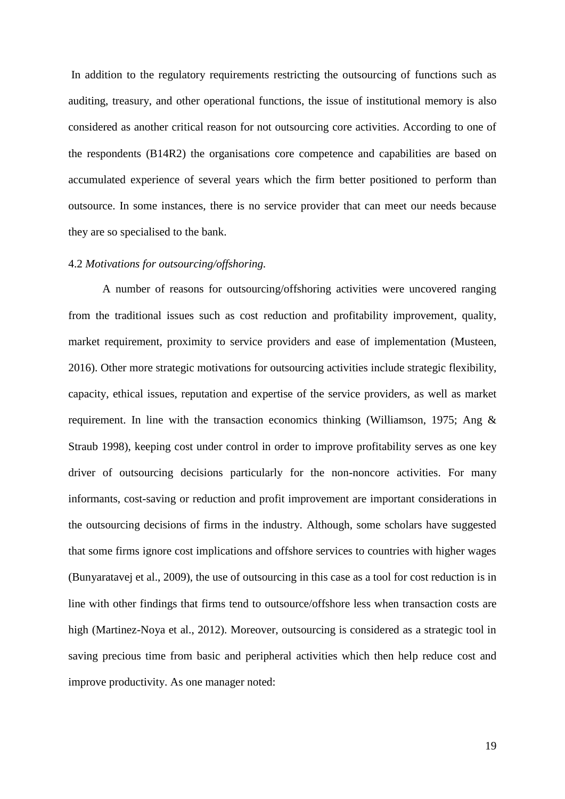In addition to the regulatory requirements restricting the outsourcing of functions such as auditing, treasury, and other operational functions, the issue of institutional memory is also considered as another critical reason for not outsourcing core activities. According to one of the respondents (B14R2) the organisations core competence and capabilities are based on accumulated experience of several years which the firm better positioned to perform than outsource. In some instances, there is no service provider that can meet our needs because they are so specialised to the bank.

#### 4.2 *Motivations for outsourcing/offshoring.*

A number of reasons for outsourcing/offshoring activities were uncovered ranging from the traditional issues such as cost reduction and profitability improvement, quality, market requirement, proximity to service providers and ease of implementation (Musteen, 2016). Other more strategic motivations for outsourcing activities include strategic flexibility, capacity, ethical issues, reputation and expertise of the service providers, as well as market requirement. In line with the transaction economics thinking (Williamson, 1975; Ang & Straub 1998), keeping cost under control in order to improve profitability serves as one key driver of outsourcing decisions particularly for the non-noncore activities. For many informants, cost-saving or reduction and profit improvement are important considerations in the outsourcing decisions of firms in the industry. Although, some scholars have suggested that some firms ignore cost implications and offshore services to countries with higher wages (Bunyaratavej et al., 2009), the use of outsourcing in this case as a tool for cost reduction is in line with other findings that firms tend to outsource/offshore less when transaction costs are high (Martinez-Noya et al., 2012). Moreover, outsourcing is considered as a strategic tool in saving precious time from basic and peripheral activities which then help reduce cost and improve productivity. As one manager noted: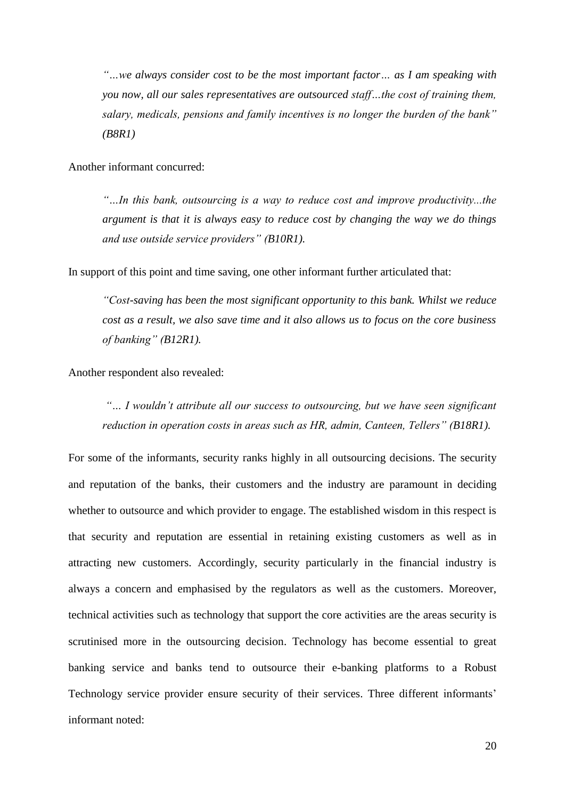*"…we always consider cost to be the most important factor… as I am speaking with you now, all our sales representatives are outsourced staff…the cost of training them, salary, medicals, pensions and family incentives is no longer the burden of the bank" (B8R1)*

Another informant concurred:

*"…In this bank, outsourcing is a way to reduce cost and improve productivity...the argument is that it is always easy to reduce cost by changing the way we do things and use outside service providers" (B10R1).*

In support of this point and time saving, one other informant further articulated that:

*"Cost-saving has been the most significant opportunity to this bank. Whilst we reduce cost as a result, we also save time and it also allows us to focus on the core business of banking" (B12R1).*

Another respondent also revealed:

*"… I wouldn't attribute all our success to outsourcing, but we have seen significant reduction in operation costs in areas such as HR, admin, Canteen, Tellers" (B18R1).*

For some of the informants, security ranks highly in all outsourcing decisions. The security and reputation of the banks, their customers and the industry are paramount in deciding whether to outsource and which provider to engage. The established wisdom in this respect is that security and reputation are essential in retaining existing customers as well as in attracting new customers. Accordingly, security particularly in the financial industry is always a concern and emphasised by the regulators as well as the customers. Moreover, technical activities such as technology that support the core activities are the areas security is scrutinised more in the outsourcing decision. Technology has become essential to great banking service and banks tend to outsource their e-banking platforms to a Robust Technology service provider ensure security of their services. Three different informants' informant noted: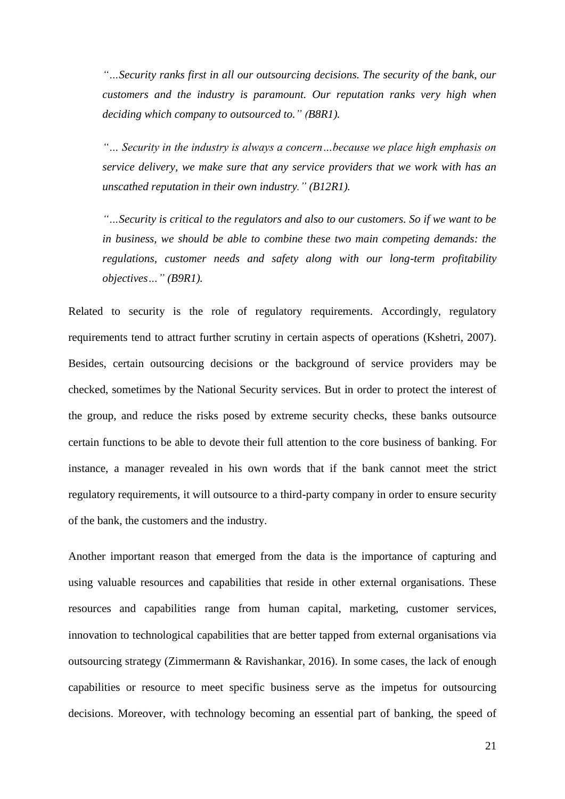*"…Security ranks first in all our outsourcing decisions. The security of the bank, our customers and the industry is paramount. Our reputation ranks very high when deciding which company to outsourced to." (B8R1).*

*"… Security in the industry is always a concern…because we place high emphasis on service delivery, we make sure that any service providers that we work with has an unscathed reputation in their own industry." (B12R1).*

*"…Security is critical to the regulators and also to our customers. So if we want to be in business, we should be able to combine these two main competing demands: the regulations, customer needs and safety along with our long-term profitability objectives…" (B9R1).*

Related to security is the role of regulatory requirements. Accordingly, regulatory requirements tend to attract further scrutiny in certain aspects of operations (Kshetri, 2007). Besides, certain outsourcing decisions or the background of service providers may be checked, sometimes by the National Security services. But in order to protect the interest of the group, and reduce the risks posed by extreme security checks, these banks outsource certain functions to be able to devote their full attention to the core business of banking. For instance, a manager revealed in his own words that if the bank cannot meet the strict regulatory requirements, it will outsource to a third-party company in order to ensure security of the bank, the customers and the industry.

Another important reason that emerged from the data is the importance of capturing and using valuable resources and capabilities that reside in other external organisations. These resources and capabilities range from human capital, marketing, customer services, innovation to technological capabilities that are better tapped from external organisations via outsourcing strategy (Zimmermann & Ravishankar, 2016). In some cases, the lack of enough capabilities or resource to meet specific business serve as the impetus for outsourcing decisions. Moreover, with technology becoming an essential part of banking, the speed of

21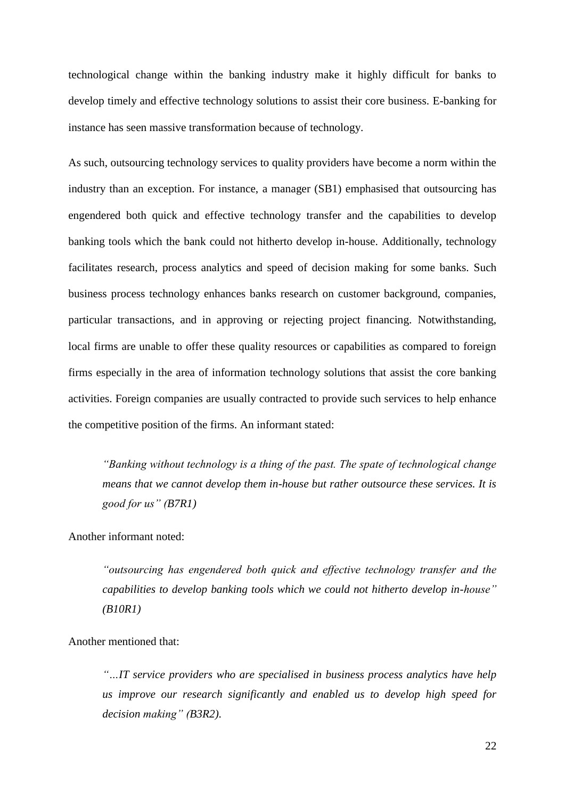technological change within the banking industry make it highly difficult for banks to develop timely and effective technology solutions to assist their core business. E-banking for instance has seen massive transformation because of technology.

As such, outsourcing technology services to quality providers have become a norm within the industry than an exception. For instance, a manager (SB1) emphasised that outsourcing has engendered both quick and effective technology transfer and the capabilities to develop banking tools which the bank could not hitherto develop in-house. Additionally, technology facilitates research, process analytics and speed of decision making for some banks. Such business process technology enhances banks research on customer background, companies, particular transactions, and in approving or rejecting project financing. Notwithstanding, local firms are unable to offer these quality resources or capabilities as compared to foreign firms especially in the area of information technology solutions that assist the core banking activities. Foreign companies are usually contracted to provide such services to help enhance the competitive position of the firms. An informant stated:

*"Banking without technology is a thing of the past. The spate of technological change means that we cannot develop them in-house but rather outsource these services. It is good for us" (B7R1)*

Another informant noted:

*"outsourcing has engendered both quick and effective technology transfer and the capabilities to develop banking tools which we could not hitherto develop in-house" (B10R1)*

Another mentioned that:

*"…IT service providers who are specialised in business process analytics have help us improve our research significantly and enabled us to develop high speed for decision making" (B3R2).*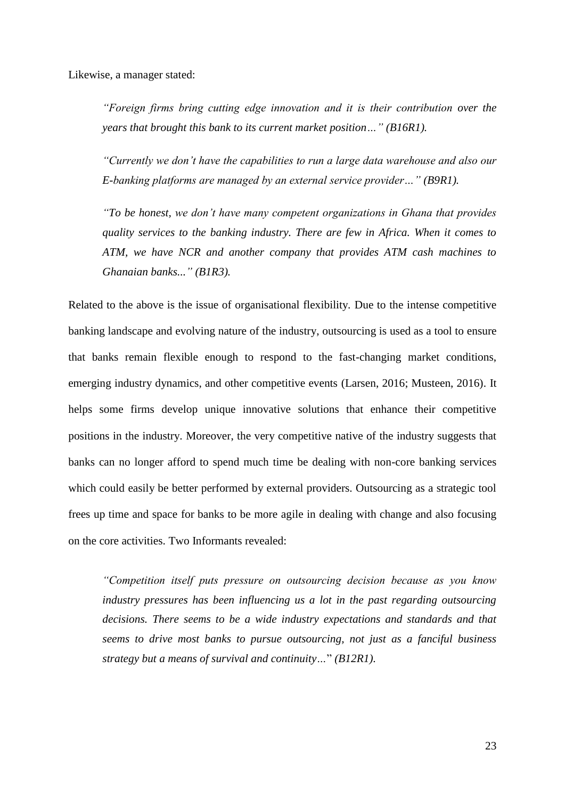Likewise, a manager stated:

*"Foreign firms bring cutting edge innovation and it is their contribution over the years that brought this bank to its current market position…" (B16R1).*

*"Currently we don't have the capabilities to run a large data warehouse and also our E-banking platforms are managed by an external service provider…" (B9R1).*

*"To be honest, we don't have many competent organizations in Ghana that provides quality services to the banking industry. There are few in Africa. When it comes to ATM, we have NCR and another company that provides ATM cash machines to Ghanaian banks..." (B1R3).*

Related to the above is the issue of organisational flexibility. Due to the intense competitive banking landscape and evolving nature of the industry, outsourcing is used as a tool to ensure that banks remain flexible enough to respond to the fast-changing market conditions, emerging industry dynamics, and other competitive events (Larsen, 2016; Musteen, 2016). It helps some firms develop unique innovative solutions that enhance their competitive positions in the industry. Moreover, the very competitive native of the industry suggests that banks can no longer afford to spend much time be dealing with non-core banking services which could easily be better performed by external providers. Outsourcing as a strategic tool frees up time and space for banks to be more agile in dealing with change and also focusing on the core activities. Two Informants revealed:

*"Competition itself puts pressure on outsourcing decision because as you know industry pressures has been influencing us a lot in the past regarding outsourcing decisions. There seems to be a wide industry expectations and standards and that seems to drive most banks to pursue outsourcing, not just as a fanciful business strategy but a means of survival and continuity…*" *(B12R1).*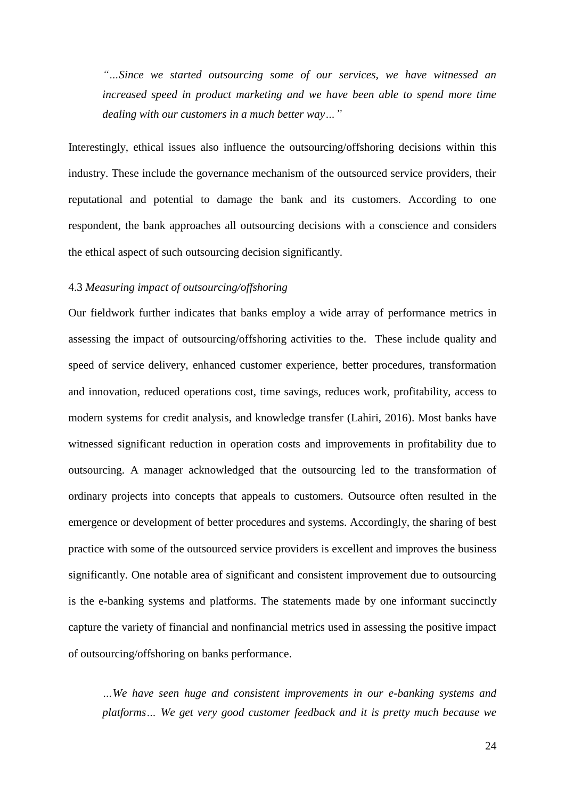*"…Since we started outsourcing some of our services, we have witnessed an increased speed in product marketing and we have been able to spend more time dealing with our customers in a much better way…"*

Interestingly, ethical issues also influence the outsourcing/offshoring decisions within this industry. These include the governance mechanism of the outsourced service providers, their reputational and potential to damage the bank and its customers. According to one respondent, the bank approaches all outsourcing decisions with a conscience and considers the ethical aspect of such outsourcing decision significantly.

#### 4.3 *Measuring impact of outsourcing/offshoring*

Our fieldwork further indicates that banks employ a wide array of performance metrics in assessing the impact of outsourcing/offshoring activities to the. These include quality and speed of service delivery, enhanced customer experience, better procedures, transformation and innovation, reduced operations cost, time savings, reduces work, profitability, access to modern systems for credit analysis, and knowledge transfer (Lahiri, 2016). Most banks have witnessed significant reduction in operation costs and improvements in profitability due to outsourcing. A manager acknowledged that the outsourcing led to the transformation of ordinary projects into concepts that appeals to customers. Outsource often resulted in the emergence or development of better procedures and systems. Accordingly, the sharing of best practice with some of the outsourced service providers is excellent and improves the business significantly. One notable area of significant and consistent improvement due to outsourcing is the e-banking systems and platforms. The statements made by one informant succinctly capture the variety of financial and nonfinancial metrics used in assessing the positive impact of outsourcing/offshoring on banks performance.

*…We have seen huge and consistent improvements in our e-banking systems and platforms… We get very good customer feedback and it is pretty much because we*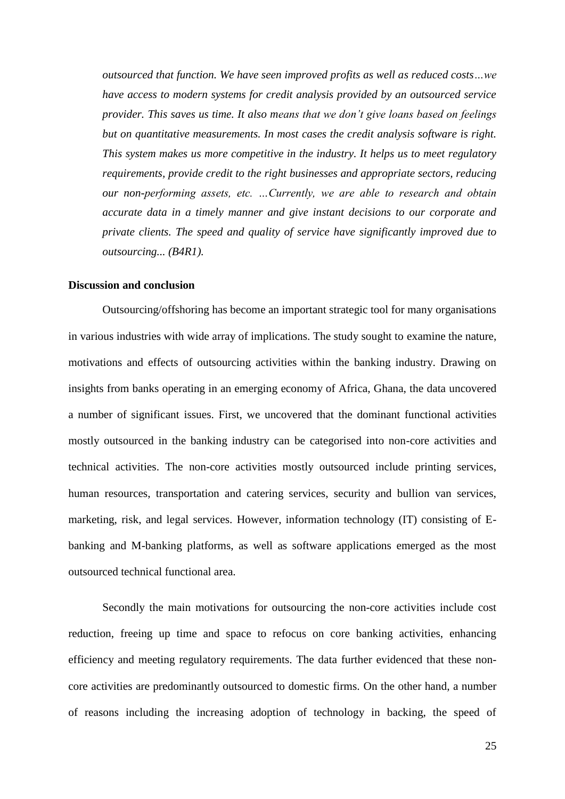*outsourced that function. We have seen improved profits as well as reduced costs…we have access to modern systems for credit analysis provided by an outsourced service provider. This saves us time. It also means that we don't give loans based on feelings but on quantitative measurements. In most cases the credit analysis software is right. This system makes us more competitive in the industry. It helps us to meet regulatory requirements, provide credit to the right businesses and appropriate sectors, reducing our non-performing assets, etc. …Currently, we are able to research and obtain accurate data in a timely manner and give instant decisions to our corporate and private clients. The speed and quality of service have significantly improved due to outsourcing... (B4R1).*

#### **Discussion and conclusion**

Outsourcing/offshoring has become an important strategic tool for many organisations in various industries with wide array of implications. The study sought to examine the nature, motivations and effects of outsourcing activities within the banking industry. Drawing on insights from banks operating in an emerging economy of Africa, Ghana, the data uncovered a number of significant issues. First, we uncovered that the dominant functional activities mostly outsourced in the banking industry can be categorised into non-core activities and technical activities. The non-core activities mostly outsourced include printing services, human resources, transportation and catering services, security and bullion van services, marketing, risk, and legal services. However, information technology (IT) consisting of Ebanking and M-banking platforms, as well as software applications emerged as the most outsourced technical functional area.

Secondly the main motivations for outsourcing the non-core activities include cost reduction, freeing up time and space to refocus on core banking activities, enhancing efficiency and meeting regulatory requirements. The data further evidenced that these noncore activities are predominantly outsourced to domestic firms. On the other hand, a number of reasons including the increasing adoption of technology in backing, the speed of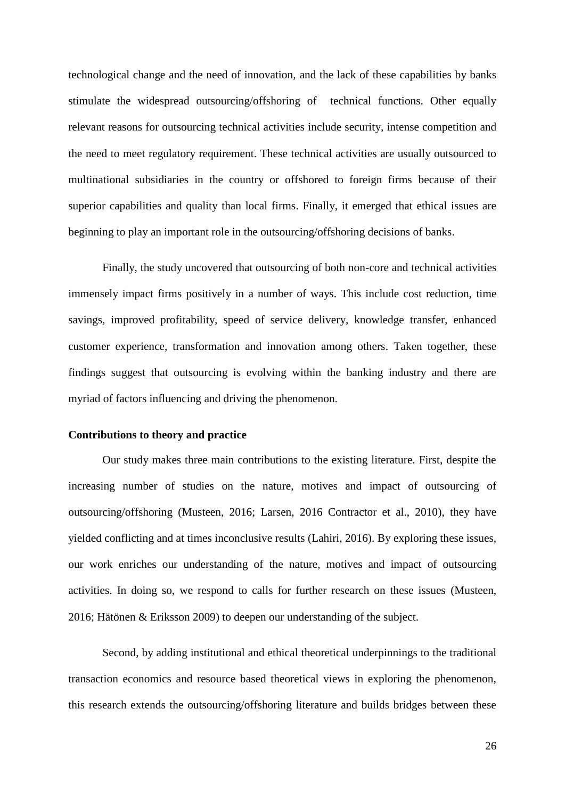technological change and the need of innovation, and the lack of these capabilities by banks stimulate the widespread outsourcing/offshoring of technical functions. Other equally relevant reasons for outsourcing technical activities include security, intense competition and the need to meet regulatory requirement. These technical activities are usually outsourced to multinational subsidiaries in the country or offshored to foreign firms because of their superior capabilities and quality than local firms. Finally, it emerged that ethical issues are beginning to play an important role in the outsourcing/offshoring decisions of banks.

Finally, the study uncovered that outsourcing of both non-core and technical activities immensely impact firms positively in a number of ways. This include cost reduction, time savings, improved profitability, speed of service delivery, knowledge transfer, enhanced customer experience, transformation and innovation among others. Taken together, these findings suggest that outsourcing is evolving within the banking industry and there are myriad of factors influencing and driving the phenomenon.

#### **Contributions to theory and practice**

Our study makes three main contributions to the existing literature. First, despite the increasing number of studies on the nature, motives and impact of outsourcing of outsourcing/offshoring (Musteen, 2016; Larsen, 2016 Contractor et al., 2010), they have yielded conflicting and at times inconclusive results (Lahiri, 2016). By exploring these issues, our work enriches our understanding of the nature, motives and impact of outsourcing activities. In doing so, we respond to calls for further research on these issues (Musteen, 2016; Hätönen & Eriksson 2009) to deepen our understanding of the subject.

Second, by adding institutional and ethical theoretical underpinnings to the traditional transaction economics and resource based theoretical views in exploring the phenomenon, this research extends the outsourcing/offshoring literature and builds bridges between these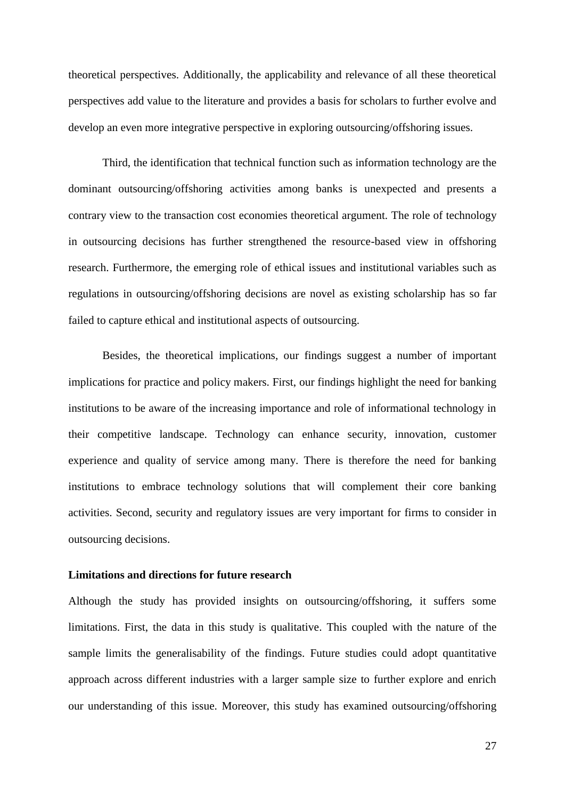theoretical perspectives. Additionally, the applicability and relevance of all these theoretical perspectives add value to the literature and provides a basis for scholars to further evolve and develop an even more integrative perspective in exploring outsourcing/offshoring issues.

Third, the identification that technical function such as information technology are the dominant outsourcing/offshoring activities among banks is unexpected and presents a contrary view to the transaction cost economies theoretical argument. The role of technology in outsourcing decisions has further strengthened the resource-based view in offshoring research. Furthermore, the emerging role of ethical issues and institutional variables such as regulations in outsourcing/offshoring decisions are novel as existing scholarship has so far failed to capture ethical and institutional aspects of outsourcing.

Besides, the theoretical implications, our findings suggest a number of important implications for practice and policy makers. First, our findings highlight the need for banking institutions to be aware of the increasing importance and role of informational technology in their competitive landscape. Technology can enhance security, innovation, customer experience and quality of service among many. There is therefore the need for banking institutions to embrace technology solutions that will complement their core banking activities. Second, security and regulatory issues are very important for firms to consider in outsourcing decisions.

#### **Limitations and directions for future research**

Although the study has provided insights on outsourcing/offshoring, it suffers some limitations. First, the data in this study is qualitative. This coupled with the nature of the sample limits the generalisability of the findings. Future studies could adopt quantitative approach across different industries with a larger sample size to further explore and enrich our understanding of this issue. Moreover, this study has examined outsourcing/offshoring

27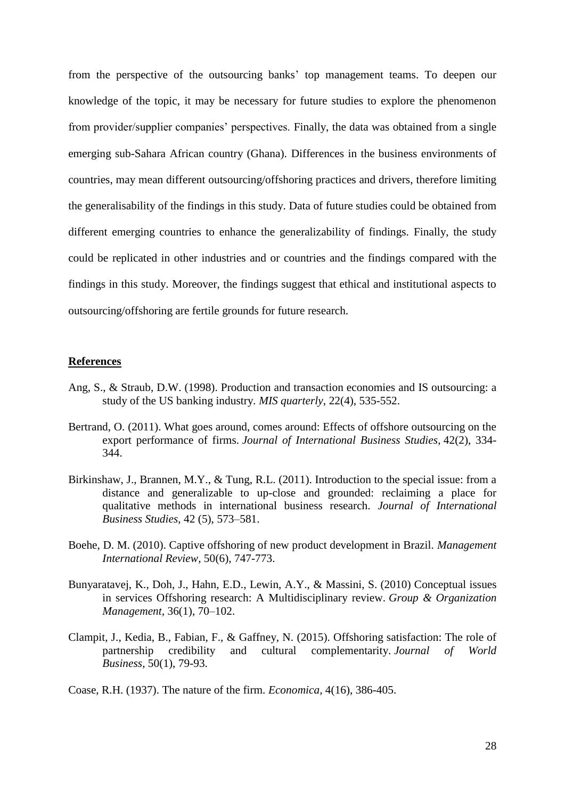from the perspective of the outsourcing banks' top management teams. To deepen our knowledge of the topic, it may be necessary for future studies to explore the phenomenon from provider/supplier companies' perspectives. Finally, the data was obtained from a single emerging sub-Sahara African country (Ghana). Differences in the business environments of countries, may mean different outsourcing/offshoring practices and drivers, therefore limiting the generalisability of the findings in this study. Data of future studies could be obtained from different emerging countries to enhance the generalizability of findings. Finally, the study could be replicated in other industries and or countries and the findings compared with the findings in this study. Moreover, the findings suggest that ethical and institutional aspects to outsourcing/offshoring are fertile grounds for future research.

#### **References**

- Ang, S., & Straub, D.W. (1998). Production and transaction economies and IS outsourcing: a study of the US banking industry*. MIS quarterly*, 22(4), 535-552.
- Bertrand, O. (2011). What goes around, comes around: Effects of offshore outsourcing on the export performance of firms. *Journal of International Business Studies*, 42(2), 334- 344.
- Birkinshaw, J., Brannen, M.Y., & Tung, R.L. (2011). Introduction to the special issue: from a distance and generalizable to up-close and grounded: reclaiming a place for qualitative methods in international business research. *Journal of International Business Studies*, 42 (5), 573–581.
- Boehe, D. M. (2010). Captive offshoring of new product development in Brazil. *Management International Review*, 50(6), 747-773.
- Bunyaratavej, K., Doh, J., Hahn, E.D., Lewin, A.Y., & Massini, S. (2010) Conceptual issues in services Offshoring research: A Multidisciplinary review. *Group & Organization Management,* 36(1), 70–102.
- Clampit, J., Kedia, B., Fabian, F., & Gaffney, N. (2015). Offshoring satisfaction: The role of partnership credibility and cultural complementarity. *Journal of World Business,* 50(1), 79-93.

Coase, R.H. (1937). The nature of the firm. *Economica,* 4(16), 386-405.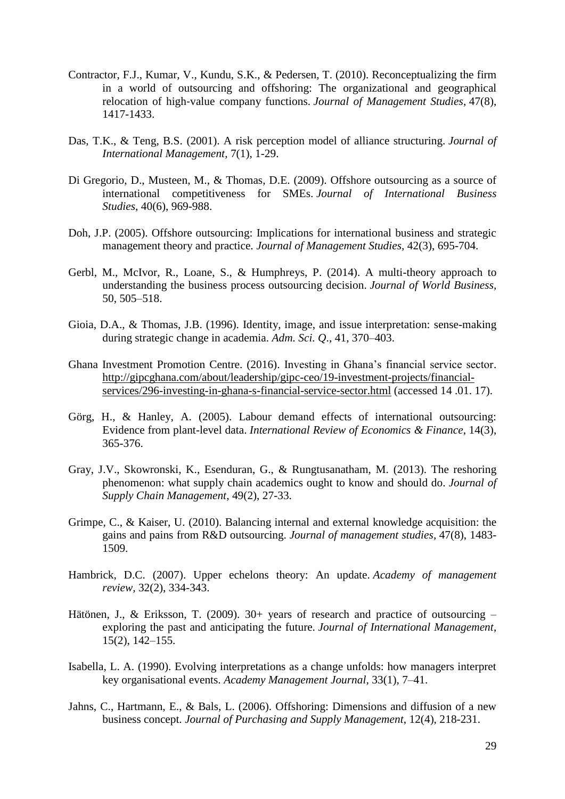- Contractor, F.J., Kumar, V., Kundu, S.K., & Pedersen, T. (2010). Reconceptualizing the firm in a world of outsourcing and offshoring: The organizational and geographical relocation of high‐value company functions. *Journal of Management Studies,* 47(8), 1417-1433.
- Das, T.K., & Teng, B.S. (2001). A risk perception model of alliance structuring. *Journal of International Management,* 7(1), 1-29.
- Di Gregorio, D., Musteen, M., & Thomas, D.E. (2009). Offshore outsourcing as a source of international competitiveness for SMEs. *Journal of International Business Studies*, 40(6), 969-988.
- Doh, J.P. (2005). Offshore outsourcing: Implications for international business and strategic management theory and practice. *Journal of Management Studies,* 42(3), 695-704.
- Gerbl, M., McIvor, R., Loane, S., & Humphreys, P. (2014). A multi-theory approach to understanding the business process outsourcing decision. *Journal of World Business,* 50, 505–518.
- Gioia, D.A., & Thomas, J.B. (1996). Identity, image, and issue interpretation: sense-making during strategic change in academia. *Adm. Sci. Q*., 41, 370–403.
- Ghana Investment Promotion Centre. (2016). Investing in Ghana's financial service sector. [http://gipcghana.com/about/leadership/gipc-ceo/19-investment-projects/financial](http://gipcghana.com/about/leadership/gipc-ceo/19-investment-projects/financial-services/296-investing-in-ghana-s-financial-service-sector.html)[services/296-investing-in-ghana-s-financial-service-sector.html](http://gipcghana.com/about/leadership/gipc-ceo/19-investment-projects/financial-services/296-investing-in-ghana-s-financial-service-sector.html) (accessed 14 .01. 17).
- Görg, H., & Hanley, A. (2005). Labour demand effects of international outsourcing: Evidence from plant-level data. *International Review of Economics & Finance*, 14(3), 365-376.
- Gray, J.V., Skowronski, K., Esenduran, G., & Rungtusanatham, M. (2013). The reshoring phenomenon: what supply chain academics ought to know and should do. *Journal of Supply Chain Management*, 49(2), 27-33.
- Grimpe, C., & Kaiser, U. (2010). Balancing internal and external knowledge acquisition: the gains and pains from R&D outsourcing. *Journal of management studies,* 47(8), 1483- 1509.
- Hambrick, D.C. (2007). Upper echelons theory: An update. *Academy of management review,* 32(2), 334-343.
- Hätönen, J., & Eriksson, T. (2009). 30+ years of research and practice of outsourcing exploring the past and anticipating the future. *Journal of International Management*, 15(2), 142–155.
- Isabella, L. A. (1990). Evolving interpretations as a change unfolds: how managers interpret key organisational events. *Academy Management Journal,* 33(1), 7–41.
- Jahns, C., Hartmann, E., & Bals, L. (2006). Offshoring: Dimensions and diffusion of a new business concept. *Journal of Purchasing and Supply Management*, 12(4), 218-231.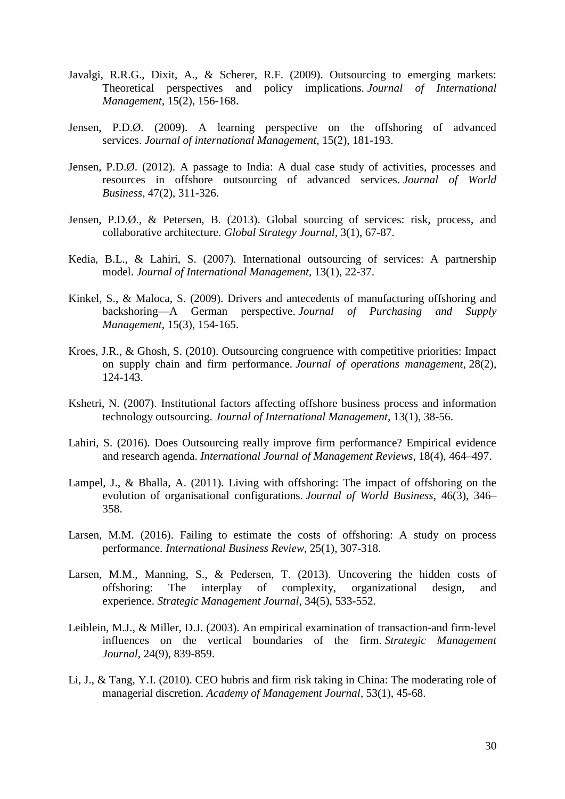- Javalgi, R.R.G., Dixit, A., & Scherer, R.F. (2009). Outsourcing to emerging markets: Theoretical perspectives and policy implications. *Journal of International Management,* 15(2), 156-168.
- Jensen, P.D.Ø. (2009). A learning perspective on the offshoring of advanced services. *Journal of international Management,* 15(2), 181-193.
- Jensen, P.D.Ø. (2012). A passage to India: A dual case study of activities, processes and resources in offshore outsourcing of advanced services. *Journal of World Business,* 47(2), 311-326.
- Jensen, P.D.Ø., & Petersen, B. (2013). Global sourcing of services: risk, process, and collaborative architecture. *Global Strategy Journal,* 3(1), 67-87.
- Kedia, B.L., & Lahiri, S. (2007). International outsourcing of services: A partnership model. *Journal of International Management,* 13(1), 22-37.
- Kinkel, S., & Maloca, S. (2009). Drivers and antecedents of manufacturing offshoring and backshoring—A German perspective. *Journal of Purchasing and Supply Management*, 15(3), 154-165.
- Kroes, J.R., & Ghosh, S. (2010). Outsourcing congruence with competitive priorities: Impact on supply chain and firm performance. *Journal of operations management,* 28(2), 124-143.
- Kshetri, N. (2007). Institutional factors affecting offshore business process and information technology outsourcing. *Journal of International Management,* 13(1), 38-56.
- Lahiri, S. (2016). Does Outsourcing really improve firm performance? Empirical evidence and research agenda. *International Journal of Management Reviews*, 18(4), 464–497.
- Lampel, J., & Bhalla, A. (2011). Living with offshoring: The impact of offshoring on the evolution of organisational configurations. *Journal of World Business,* 46(3), 346– 358.
- Larsen, M.M. (2016). Failing to estimate the costs of offshoring: A study on process performance. *International Business Review*, 25(1), 307-318.
- Larsen, M.M., Manning, S., & Pedersen, T. (2013). Uncovering the hidden costs of offshoring: The interplay of complexity, organizational design, and experience. *Strategic Management Journal,* 34(5), 533-552.
- Leiblein, M.J., & Miller, D.J. (2003). An empirical examination of transaction-and firm-level influences on the vertical boundaries of the firm. *Strategic Management Journal*, 24(9), 839-859.
- Li, J., & Tang, Y.I. (2010). CEO hubris and firm risk taking in China: The moderating role of managerial discretion. *Academy of Management Journal*, 53(1), 45-68.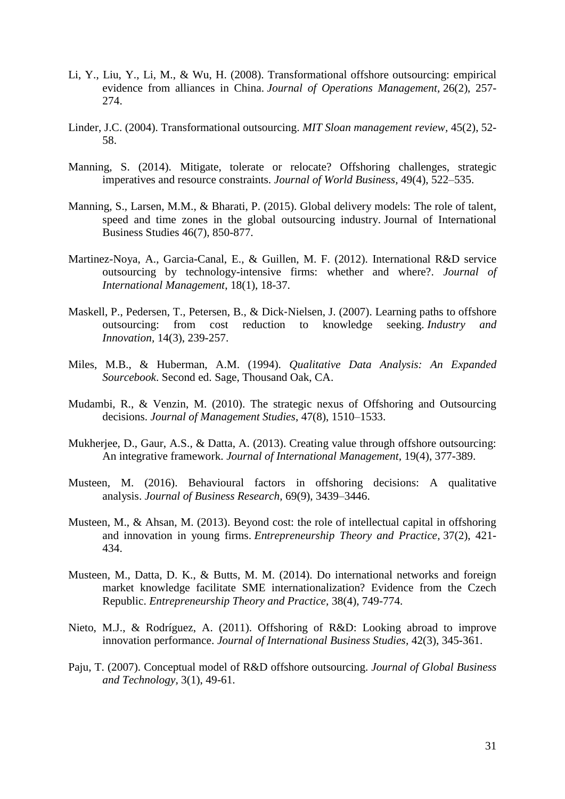- Li, Y., Liu, Y., Li, M., & Wu, H. (2008). Transformational offshore outsourcing: empirical evidence from alliances in China. *Journal of Operations Management,* 26(2), 257- 274.
- Linder, J.C. (2004). Transformational outsourcing. *MIT Sloan management review,* 45(2), 52- 58.
- Manning, S. (2014). Mitigate, tolerate or relocate? Offshoring challenges, strategic imperatives and resource constraints. *Journal of World Business,* 49(4), 522–535.
- Manning, S., Larsen, M.M., & Bharati, P. (2015). Global delivery models: The role of talent, speed and time zones in the global outsourcing industry. Journal of International Business Studies 46(7), 850-877.
- Martinez-Noya, A., Garcia-Canal, E., & Guillen, M. F. (2012). International R&D service outsourcing by technology-intensive firms: whether and where?. *Journal of International Management*, 18(1), 18-37.
- Maskell, P., Pedersen, T., Petersen, B., & Dick‐Nielsen, J. (2007). Learning paths to offshore outsourcing: from cost reduction to knowledge seeking. *Industry and Innovation,* 14(3), 239-257.
- Miles, M.B., & Huberman, A.M. (1994). *Qualitative Data Analysis: An Expanded Sourcebook*. Second ed. Sage, Thousand Oak, CA.
- Mudambi, R., & Venzin, M. (2010). The strategic nexus of Offshoring and Outsourcing decisions. *Journal of Management Studies*, 47(8), 1510–1533.
- Mukherjee, D., Gaur, A.S., & Datta, A. (2013). Creating value through offshore outsourcing: An integrative framework. *Journal of International Management,* 19(4), 377-389.
- Musteen, M. (2016). Behavioural factors in offshoring decisions: A qualitative analysis. *Journal of Business Research,* 69(9), 3439–3446.
- Musteen, M., & Ahsan, M. (2013). Beyond cost: the role of intellectual capital in offshoring and innovation in young firms. *Entrepreneurship Theory and Practice,* 37(2), 421- 434.
- Musteen, M., Datta, D. K., & Butts, M. M. (2014). Do international networks and foreign market knowledge facilitate SME internationalization? Evidence from the Czech Republic. *Entrepreneurship Theory and Practice,* 38(4), 749-774.
- Nieto, M.J., & Rodríguez, A. (2011). Offshoring of R&D: Looking abroad to improve innovation performance. *Journal of International Business Studies,* 42(3), 345-361.
- Paju, T. (2007). Conceptual model of R&D offshore outsourcing. *Journal of Global Business and Technology,* 3(1), 49-61.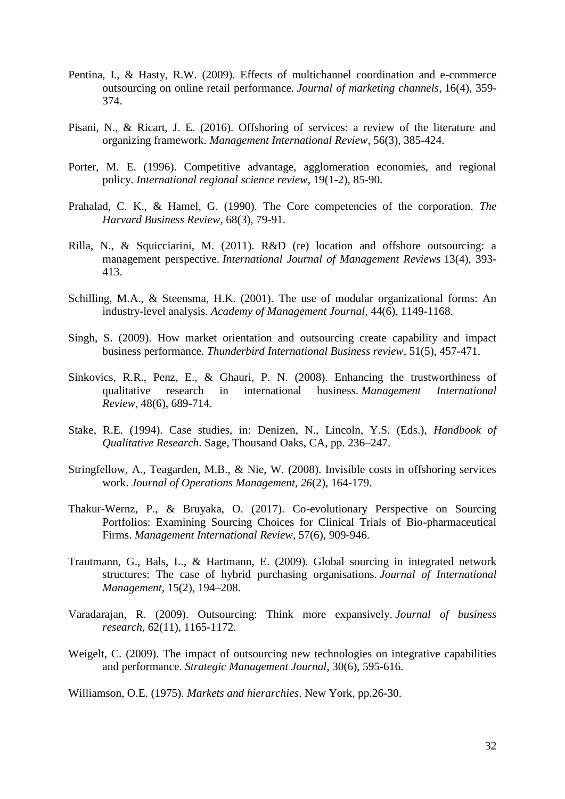- Pentina, I., & Hasty, R.W. (2009). Effects of multichannel coordination and e-commerce outsourcing on online retail performance. *Journal of marketing channels,* 16(4), 359- 374.
- Pisani, N., & Ricart, J. E. (2016). Offshoring of services: a review of the literature and organizing framework. *Management International Review*, 56(3), 385-424.
- Porter, M. E. (1996). Competitive advantage, agglomeration economies, and regional policy. *International regional science review*, 19(1-2), 85-90.
- Prahalad, C. K., & Hamel, G. (1990). The Core competencies of the corporation. *The Harvard Business Review,* 68(3), 79-91.
- Rilla, N., & Squicciarini, M. (2011). R&D (re) location and offshore outsourcing: a management perspective. *International Journal of Management Reviews* 13(4), 393- 413.
- Schilling, M.A., & Steensma, H.K. (2001). The use of modular organizational forms: An industry-level analysis. *Academy of Management Journal*, 44(6), 1149-1168.
- Singh, S. (2009). How market orientation and outsourcing create capability and impact business performance. *Thunderbird International Business review*, 51(5), 457-471.
- Sinkovics, R.R., Penz, E., & Ghauri, P. N. (2008). Enhancing the trustworthiness of qualitative research in international business. *Management International Review*, 48(6), 689-714.
- Stake, R.E. (1994). Case studies, in: Denizen, N., Lincoln, Y.S. (Eds.), *Handbook of Qualitative Research*. Sage, Thousand Oaks, CA, pp. 236–247.
- Stringfellow, A., Teagarden, M.B., & Nie, W. (2008). Invisible costs in offshoring services work. *Journal of Operations Management*, *26*(2), 164-179.
- Thakur-Wernz, P., & Bruyaka, O. (2017). Co-evolutionary Perspective on Sourcing Portfolios: Examining Sourcing Choices for Clinical Trials of Bio-pharmaceutical Firms. *Management International Review*, 57(6), 909-946.
- Trautmann, G., Bals, L., & Hartmann, E. (2009). Global sourcing in integrated network structures: The case of hybrid purchasing organisations. *Journal of International Management,* 15(2), 194–208.
- Varadarajan, R. (2009). Outsourcing: Think more expansively. *Journal of business research,* 62(11), 1165-1172.
- Weigelt, C. (2009). The impact of outsourcing new technologies on integrative capabilities and performance. *Strategic Management Journal*, 30(6), 595-616.

Williamson, O.E. (1975). *Markets and hierarchies*. New York, pp.26-30.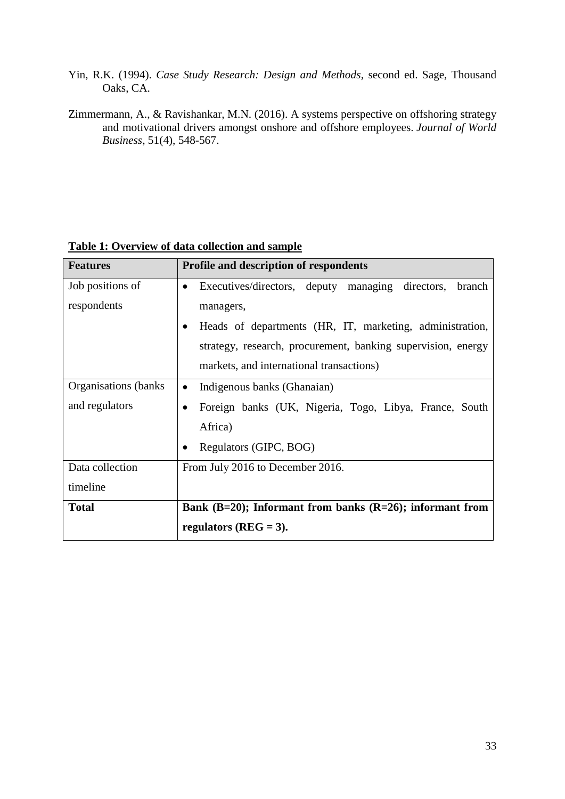- Yin, R.K. (1994). *Case Study Research: Design and Methods*, second ed. Sage, Thousand Oaks, CA.
- Zimmermann, A., & Ravishankar, M.N. (2016). A systems perspective on offshoring strategy and motivational drivers amongst onshore and offshore employees. *Journal of World Business*, 51(4), 548-567.

| <b>Features</b>       | <b>Profile and description of respondents</b>                           |
|-----------------------|-------------------------------------------------------------------------|
| Job positions of      | Executives/directors, deputy managing directors,<br>branch<br>$\bullet$ |
| respondents           | managers,                                                               |
|                       | Heads of departments (HR, IT, marketing, administration,                |
|                       | strategy, research, procurement, banking supervision, energy            |
|                       | markets, and international transactions)                                |
| Organisations (banks) | Indigenous banks (Ghanaian)                                             |
| and regulators        | Foreign banks (UK, Nigeria, Togo, Libya, France, South                  |
|                       | Africa)                                                                 |
|                       | Regulators (GIPC, BOG)                                                  |
| Data collection       | From July 2016 to December 2016.                                        |
| timeline              |                                                                         |
| <b>Total</b>          | Bank $(B=20)$ ; Informant from banks $(R=26)$ ; informant from          |
|                       | regulators ( $REG = 3$ ).                                               |

### **Table 1: Overview of data collection and sample**